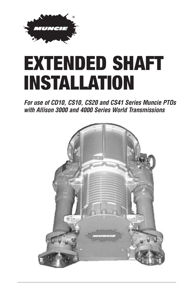

## EXTENDED SHAFT INSTALLATION

*For use of CD10, CS10, CS20 and CS41 Series Muncie PTOs with Allison 3000 and 4000 Series World Transmissions*

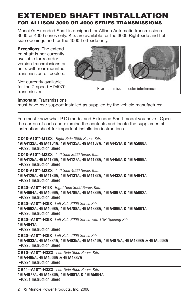## **EXTENDED SHAFT INSTALLATION FOR ALLISON 3000 OR 4000 SERIES TRANSMISSIONS**

Muncie's Extended Shaft is designed for Allison Automatic transmissions 3000 or 4000 series only. Kits are available for the 3000 Right-side and Leftside openings and for the 4000 Left-side only.

**Exceptions:** The extended shaft is not currently available for retarder version transmissions or units with rear-mounted transmission oil coolers.

Not currently available for the 7-speed HD4070 transmission.



**Important:** Transmissions

must have rear support installed as supplied by the vehicle manufacturer.

You must know what PTO model and Extended Shaft model you have. Open the carton of each and examine the contents and locate the supplemental instruction sheet for important installation instructions.

**CD10-A10\*\*-M1ZX** Right Side 3000 Series Kits: **49TA4133A, 49TA4134A, 49TA4135A, 49TA4137A, 49TA4451A & 49TA5000A** I-40923 Instruction Sheet

**CD10-A10\*\*-M3ZX** Left Side 3000 Series Kits: **49TA4125A, 49TA4126A, 49TA4127A, 49TA4128A, 49TA4450A & 49TA4999A** I-40922 Instruction Sheet

**CD10-A10\*\*-M3ZX** Left Side 4000 Series Kits: **49TA4129A, 49TA4130A, 49TA4131A, 49TA4132A, 49TA4432A & 49TA4941A** I-40921 Instruction Sheet

**CS20--A10\*\*-H1IX** Right Side 3000 Series Kits: **49TA4694A, 49TA4699A, 49TA4789A, 49TA4839A, 49TA4897A & 49TA5002A** I-40929 Instruction Sheet

**CS20--A10\*\*-H3IX** Left Side 3000 Series Kits: **49TA4692A, 49TA4698A, 49TA4788A, 49TA4838A, 49TA4896A & 49TA5001A** I-40926 Instruction Sheet

**CS20--A10\*\*-H3IX** Left Side 3000 Series with TOP Opening Kits: **49TA4841A** I-40929 Instruction Sheet

**CS20--A10\*\*-H3IX** Left Side 4000 Series Kits: **49TA4833A, 49TA4834A, 49TA4835A, 49TA4840A, 49TA4875A, 49TA4898A & 49TA5003A** I-40925 Instruction Sheet

**CS10--A10\*\*-H3ZX** Left Side 3000 Series Kits: **49TA4495A, 49TA4506A & 49TA4837A** I-40924 Instruction Sheet

**CS41--A10\*\*-H3ZX** Left Side 4000 Series Kits: **49TA4877A, 49TA4880A, 49TA4881A & 49TA5004A** I-40931 Instruction Sheet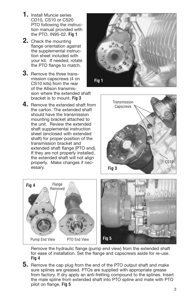- **1.** Install Muncie series CD10, CS10 or CS20 PTO following the instruction manual provided with the PTO, IN95-02. **Fig 1**
- **2.** Check the mounting flange orientation against the supplemental instruction sheet included with your kit. If needed, rotate the PTO flange to match.
- **3.** Remove the three transmission capscrews (4 on CS10 kits) from the rear of the Allison transmission where the extended shaft bracket is to mount. **Fig 3**
- **4.** Remove the extended shaft from the carton. The extended shaft should have the transmission mounting bracket attached to the unit. Review the extended shaft supplemental instruction sheet (enclosed with extended shaft) for proper position of the transmission bracket and extended shaft flange (PTO end). If they are not properly installed, the extended shaft will not align properly. Make changes if necessary.







Remove the hydraulic flange (pump end view) from the extended shaft for ease of installation. Set the flange and capscrews aside for re-use. **Fig 4**

**5.** Remove the cap plug from the end of the PTO output shaft and make sure splines are greased. PTOs are supplied with appropriate grease from factory. If dry apply an anti-fretting compound to the splines. Insert the male spline from extended shaft into PTO spline and mate with PTO pilot on flange. **Fig 5**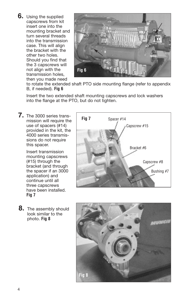**6.** Using the supplied capscrews from kit insert one into the mounting bracket and turn several threads into the transmission case. This will align the bracket with the other two holes. Should you find that the 3 capscrews will not align with the transmission holes, then you made need



to rotate the extended shaft PTO side mounting flange (refer to appendix B, if needed). **Fig 6**

Insert the two extended shaft mounting capscrews and lock washers into the flange at the PTO, but do not tighten.

**7.** The 3000 series transmission will require the use of spacers (#14) provided in the kit, the 4000 series transmissions do not require this spacer.

> Insert transmission mounting capscrews (#15) through the bracket (and through the spacer if an 3000 application) and continue until all three capscrews have been installed. **Fig 7**

**8.** The assembly should look similar to the photo. **Fig 8**



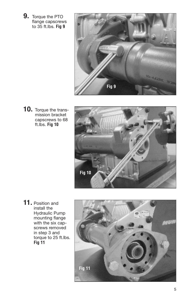**9.** Torque the PTO flange capscrews to 35 ft.lbs. **Fig 9**



**10.** Torque the transmission bracket capscrews to 68 ft.lbs. **Fig 10**



**11.** Position and install the Hydraulic Pump mounting flange with the six capscrews removed in step 3 and torque to 25 ft.lbs. **Fig 11**

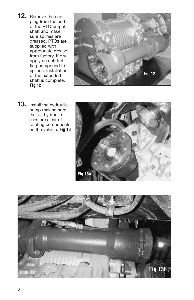**12.** Remove the cap plug from the end of the PTO output shaft and make sure splines are greased. PTOs are supplied with appropriate grease from factory. If dry apply an anti-fretting compound to splines. Installation of the extended shaft is complete. **Fig 12**



**13.** Install the hydraulic pump making sure that all hydraulic lines are clear of rotating components on the vehicle. **Fig 13**



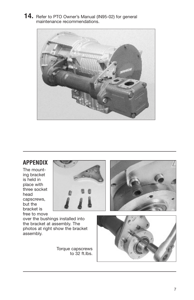**14.** Refer to PTO Owner's Manual (IN95-02) for general maintenance recommendations.



## **APPENDIX**

The mounting bracket is held in place with three socket head capscrews, but the bracket is free to move



over the bushings installed into the bracket at assembly. The photos at right show the bracket assembly.

> Torque capscrews to 32 ft.lbs.